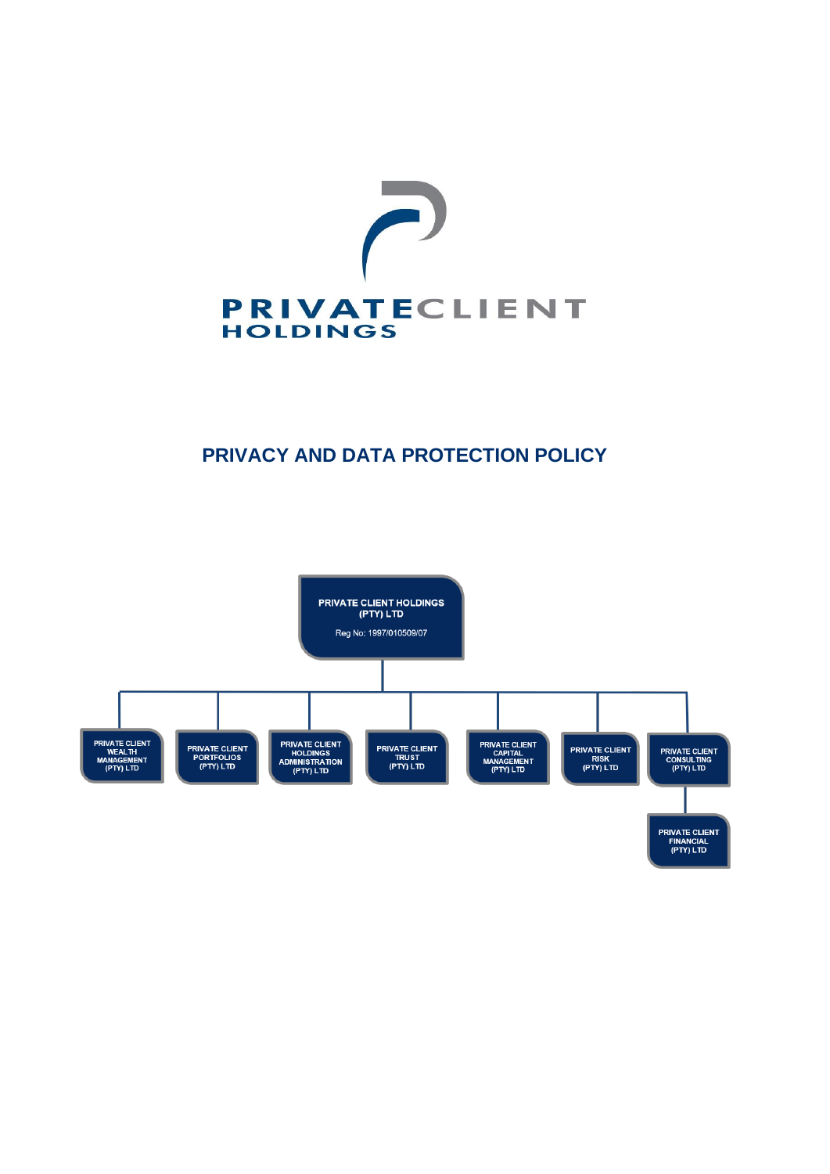

# **PRIVACY AND DATA PROTECTION POLICY**

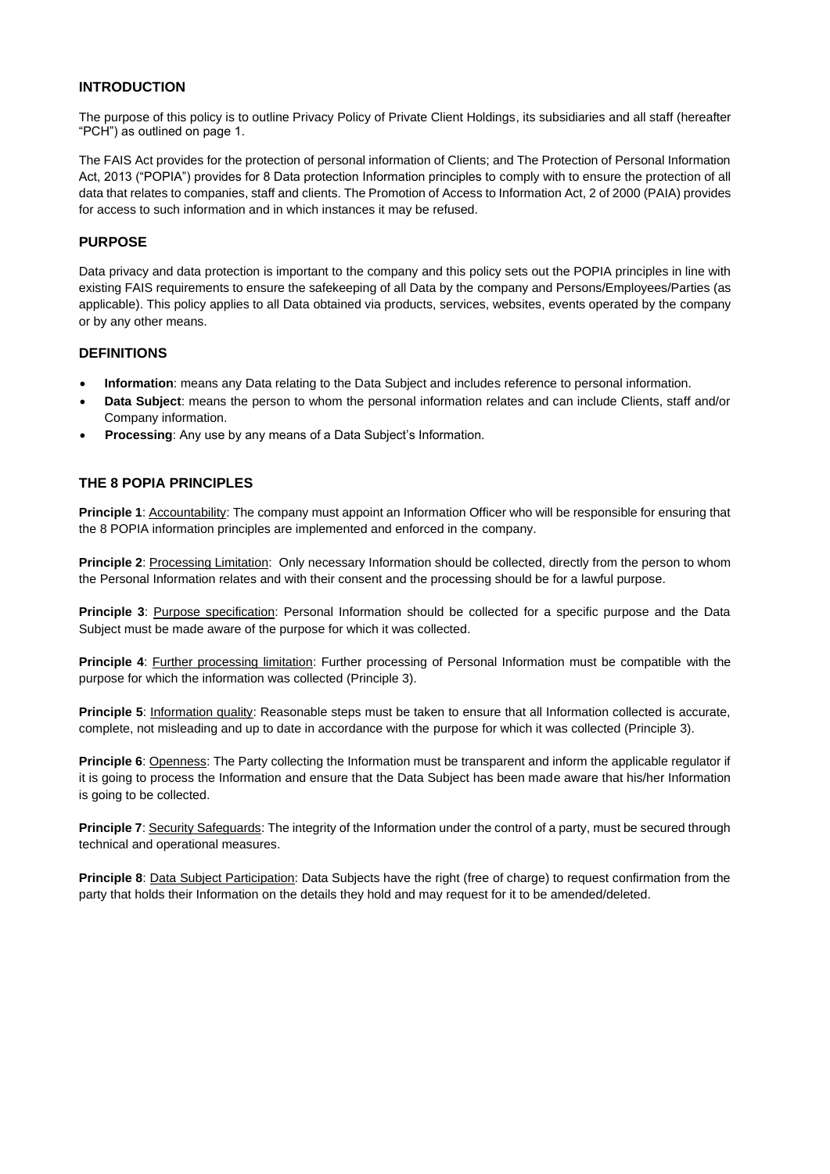## **INTRODUCTION**

The purpose of this policy is to outline Privacy Policy of Private Client Holdings, its subsidiaries and all staff (hereafter "PCH") as outlined on page 1.

The FAIS Act provides for the protection of personal information of Clients; and The Protection of Personal Information Act, 2013 ("POPIA") provides for 8 Data protection Information principles to comply with to ensure the protection of all data that relates to companies, staff and clients. The Promotion of Access to Information Act, 2 of 2000 (PAIA) provides for access to such information and in which instances it may be refused.

### **PURPOSE**

Data privacy and data protection is important to the company and this policy sets out the POPIA principles in line with existing FAIS requirements to ensure the safekeeping of all Data by the company and Persons/Employees/Parties (as applicable). This policy applies to all Data obtained via products, services, websites, events operated by the company or by any other means.

#### **DEFINITIONS**

- **Information**: means any Data relating to the Data Subject and includes reference to personal information.
- **Data Subject**: means the person to whom the personal information relates and can include Clients, staff and/or Company information.
- **Processing**: Any use by any means of a Data Subject's Information.

## **THE 8 POPIA PRINCIPLES**

**Principle 1**: Accountability: The company must appoint an Information Officer who will be responsible for ensuring that the 8 POPIA information principles are implemented and enforced in the company.

**Principle 2:** Processing Limitation: Only necessary Information should be collected, directly from the person to whom the Personal Information relates and with their consent and the processing should be for a lawful purpose.

**Principle 3**: Purpose specification: Personal Information should be collected for a specific purpose and the Data Subject must be made aware of the purpose for which it was collected.

**Principle 4**: Further processing limitation: Further processing of Personal Information must be compatible with the purpose for which the information was collected (Principle 3).

**Principle 5**: Information quality: Reasonable steps must be taken to ensure that all Information collected is accurate, complete, not misleading and up to date in accordance with the purpose for which it was collected (Principle 3).

**Principle 6**: Openness: The Party collecting the Information must be transparent and inform the applicable regulator if it is going to process the Information and ensure that the Data Subject has been made aware that his/her Information is going to be collected.

**Principle 7**: Security Safeguards: The integrity of the Information under the control of a party, must be secured through technical and operational measures.

**Principle 8**: Data Subject Participation: Data Subjects have the right (free of charge) to request confirmation from the party that holds their Information on the details they hold and may request for it to be amended/deleted.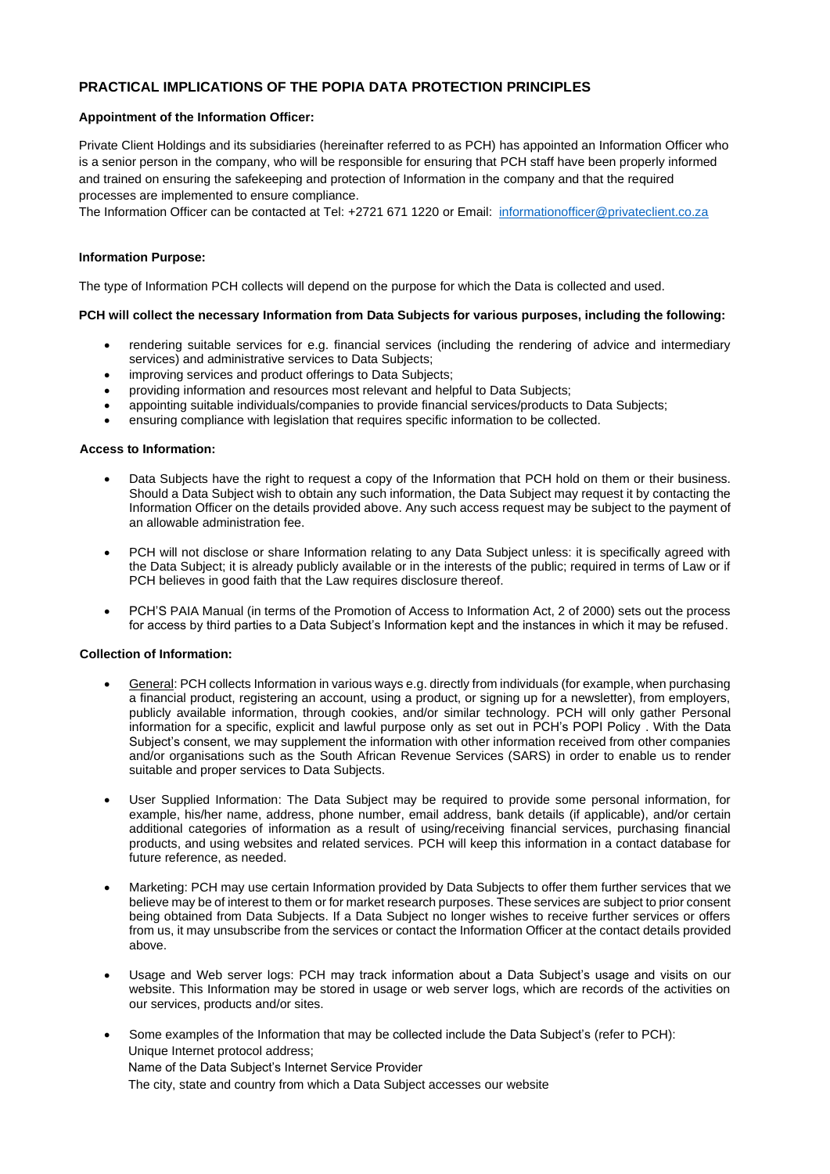# **PRACTICAL IMPLICATIONS OF THE POPIA DATA PROTECTION PRINCIPLES**

#### **Appointment of the Information Officer:**

Private Client Holdings and its subsidiaries (hereinafter referred to as PCH) has appointed an Information Officer who is a senior person in the company, who will be responsible for ensuring that PCH staff have been properly informed and trained on ensuring the safekeeping and protection of Information in the company and that the required processes are implemented to ensure compliance.

The Information Officer can be contacted at Tel: +2721 671 1220 or Email: [informationofficer@privateclient.co.za](mailto:informationofficer@privateclient.co.za)

#### **Information Purpose:**

The type of Information PCH collects will depend on the purpose for which the Data is collected and used.

#### **PCH will collect the necessary Information from Data Subjects for various purposes, including the following:**

- rendering suitable services for e.g. financial services (including the rendering of advice and intermediary services) and administrative services to Data Subjects;
- improving services and product offerings to Data Subjects;
- providing information and resources most relevant and helpful to Data Subjects;
- appointing suitable individuals/companies to provide financial services/products to Data Subjects;
- ensuring compliance with legislation that requires specific information to be collected.

#### **Access to Information:**

- Data Subjects have the right to request a copy of the Information that PCH hold on them or their business. Should a Data Subject wish to obtain any such information, the Data Subject may request it by contacting the Information Officer on the details provided above. Any such access request may be subject to the payment of an allowable administration fee.
- PCH will not disclose or share Information relating to any Data Subject unless: it is specifically agreed with the Data Subject; it is already publicly available or in the interests of the public; required in terms of Law or if PCH believes in good faith that the Law requires disclosure thereof.
- PCH'S PAIA Manual (in terms of the Promotion of Access to Information Act, 2 of 2000) sets out the process for access by third parties to a Data Subject's Information kept and the instances in which it may be refused.

#### **Collection of Information:**

- General: PCH collects Information in various ways e.g. directly from individuals (for example, when purchasing a financial product, registering an account, using a product, or signing up for a newsletter), from employers, publicly available information, through cookies, and/or similar technology. PCH will only gather Personal information for a specific, explicit and lawful purpose only as set out in PCH's POPI Policy . With the Data Subject's consent, we may supplement the information with other information received from other companies and/or organisations such as the South African Revenue Services (SARS) in order to enable us to render suitable and proper services to Data Subjects.
- User Supplied Information: The Data Subject may be required to provide some personal information, for example, his/her name, address, phone number, email address, bank details (if applicable), and/or certain additional categories of information as a result of using/receiving financial services, purchasing financial products, and using websites and related services. PCH will keep this information in a contact database for future reference, as needed.
- Marketing: PCH may use certain Information provided by Data Subjects to offer them further services that we believe may be of interest to them or for market research purposes. These services are subject to prior consent being obtained from Data Subjects. If a Data Subject no longer wishes to receive further services or offers from us, it may unsubscribe from the services or contact the Information Officer at the contact details provided above.
- Usage and Web server logs: PCH may track information about a Data Subject's usage and visits on our website. This Information may be stored in usage or web server logs, which are records of the activities on our services, products and/or sites.
- Some examples of the Information that may be collected include the Data Subject's (refer to PCH): Unique Internet protocol address; Name of the Data Subject's Internet Service Provider The city, state and country from which a Data Subject accesses our website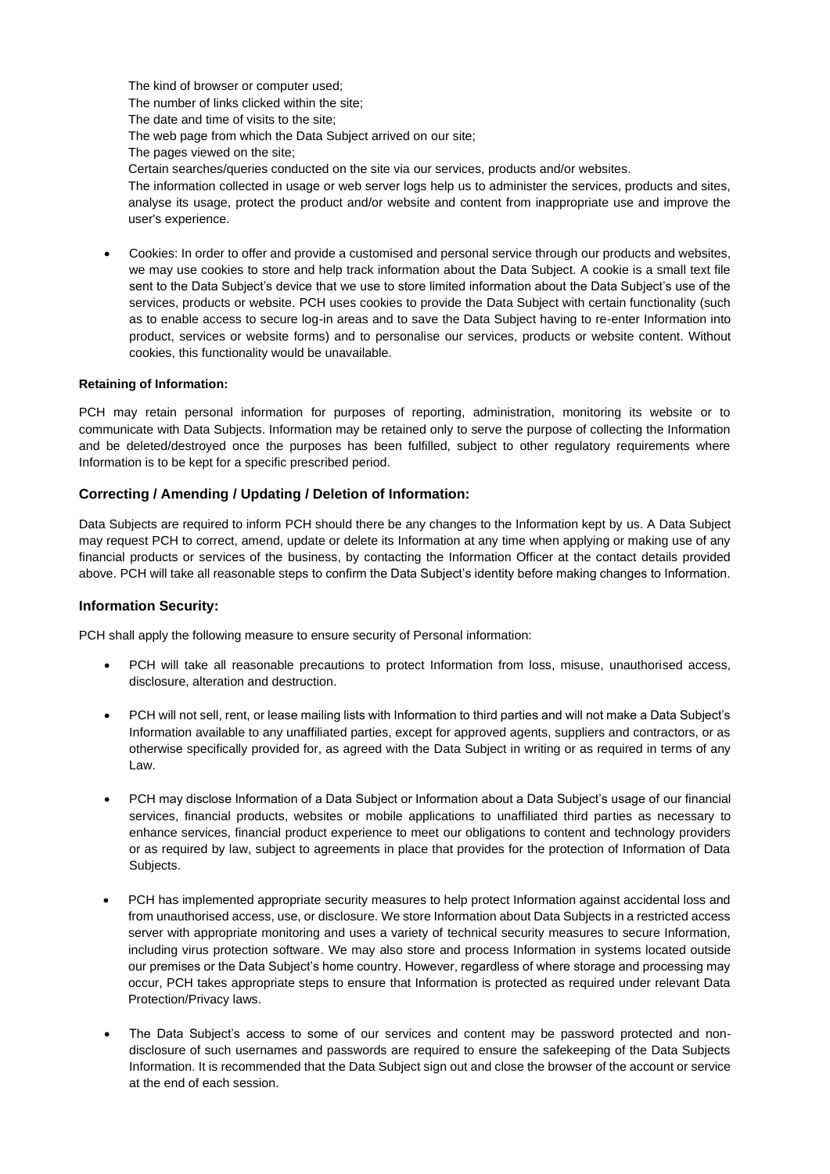The kind of browser or computer used; The number of links clicked within the site; The date and time of visits to the site; The web page from which the Data Subject arrived on our site; The pages viewed on the site; Certain searches/queries conducted on the site via our services, products and/or websites.

The information collected in usage or web server logs help us to administer the services, products and sites, analyse its usage, protect the product and/or website and content from inappropriate use and improve the user's experience.

• Cookies: In order to offer and provide a customised and personal service through our products and websites, we may use cookies to store and help track information about the Data Subject. A cookie is a small text file sent to the Data Subject's device that we use to store limited information about the Data Subject's use of the services, products or website. PCH uses cookies to provide the Data Subject with certain functionality (such as to enable access to secure log-in areas and to save the Data Subject having to re-enter Information into product, services or website forms) and to personalise our services, products or website content. Without cookies, this functionality would be unavailable.

#### **Retaining of Information:**

PCH may retain personal information for purposes of reporting, administration, monitoring its website or to communicate with Data Subjects. Information may be retained only to serve the purpose of collecting the Information and be deleted/destroyed once the purposes has been fulfilled, subject to other regulatory requirements where Information is to be kept for a specific prescribed period.

## **Correcting / Amending / Updating / Deletion of Information:**

Data Subjects are required to inform PCH should there be any changes to the Information kept by us. A Data Subject may request PCH to correct, amend, update or delete its Information at any time when applying or making use of any financial products or services of the business, by contacting the Information Officer at the contact details provided above. PCH will take all reasonable steps to confirm the Data Subject's identity before making changes to Information.

#### **Information Security:**

PCH shall apply the following measure to ensure security of Personal information:

- PCH will take all reasonable precautions to protect Information from loss, misuse, unauthorised access, disclosure, alteration and destruction.
- PCH will not sell, rent, or lease mailing lists with Information to third parties and will not make a Data Subject's Information available to any unaffiliated parties, except for approved agents, suppliers and contractors, or as otherwise specifically provided for, as agreed with the Data Subject in writing or as required in terms of any Law.
- PCH may disclose Information of a Data Subject or Information about a Data Subject's usage of our financial services, financial products, websites or mobile applications to unaffiliated third parties as necessary to enhance services, financial product experience to meet our obligations to content and technology providers or as required by law, subject to agreements in place that provides for the protection of Information of Data Subjects.
- PCH has implemented appropriate security measures to help protect Information against accidental loss and from unauthorised access, use, or disclosure. We store Information about Data Subjects in a restricted access server with appropriate monitoring and uses a variety of technical security measures to secure Information, including virus protection software. We may also store and process Information in systems located outside our premises or the Data Subject's home country. However, regardless of where storage and processing may occur, PCH takes appropriate steps to ensure that Information is protected as required under relevant Data Protection/Privacy laws.
- The Data Subject's access to some of our services and content may be password protected and nondisclosure of such usernames and passwords are required to ensure the safekeeping of the Data Subjects Information. It is recommended that the Data Subject sign out and close the browser of the account or service at the end of each session.